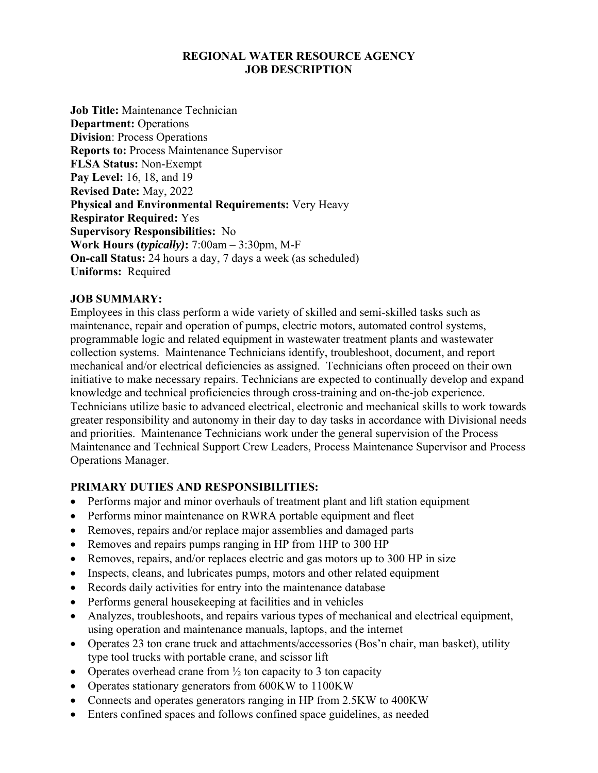#### **REGIONAL WATER RESOURCE AGENCY JOB DESCRIPTION**

**Job Title:** Maintenance Technician **Department: Operations Division**: Process Operations **Reports to:** Process Maintenance Supervisor **FLSA Status:** Non-Exempt **Pay Level:** 16, 18, and 19 **Revised Date:** May, 2022 **Physical and Environmental Requirements:** Very Heavy **Respirator Required:** Yes **Supervisory Responsibilities:** No **Work Hours (***typically)***:** 7:00am – 3:30pm, M-F **On-call Status:** 24 hours a day, 7 days a week (as scheduled) **Uniforms:** Required

### **JOB SUMMARY:**

Employees in this class perform a wide variety of skilled and semi-skilled tasks such as maintenance, repair and operation of pumps, electric motors, automated control systems, programmable logic and related equipment in wastewater treatment plants and wastewater collection systems. Maintenance Technicians identify, troubleshoot, document, and report mechanical and/or electrical deficiencies as assigned. Technicians often proceed on their own initiative to make necessary repairs. Technicians are expected to continually develop and expand knowledge and technical proficiencies through cross-training and on-the-job experience. Technicians utilize basic to advanced electrical, electronic and mechanical skills to work towards greater responsibility and autonomy in their day to day tasks in accordance with Divisional needs and priorities. Maintenance Technicians work under the general supervision of the Process Maintenance and Technical Support Crew Leaders, Process Maintenance Supervisor and Process Operations Manager.

### **PRIMARY DUTIES AND RESPONSIBILITIES:**

- Performs major and minor overhauls of treatment plant and lift station equipment
- Performs minor maintenance on RWRA portable equipment and fleet
- Removes, repairs and/or replace major assemblies and damaged parts
- Removes and repairs pumps ranging in HP from 1HP to 300 HP
- Removes, repairs, and/or replaces electric and gas motors up to 300 HP in size
- Inspects, cleans, and lubricates pumps, motors and other related equipment
- Records daily activities for entry into the maintenance database
- Performs general housekeeping at facilities and in vehicles
- Analyzes, troubleshoots, and repairs various types of mechanical and electrical equipment, using operation and maintenance manuals, laptops, and the internet
- Operates 23 ton crane truck and attachments/accessories (Bos'n chair, man basket), utility type tool trucks with portable crane, and scissor lift
- Operates overhead crane from  $\frac{1}{2}$  ton capacity to 3 ton capacity
- Operates stationary generators from 600KW to 1100KW
- Connects and operates generators ranging in HP from 2.5KW to 400KW
- Enters confined spaces and follows confined space guidelines, as needed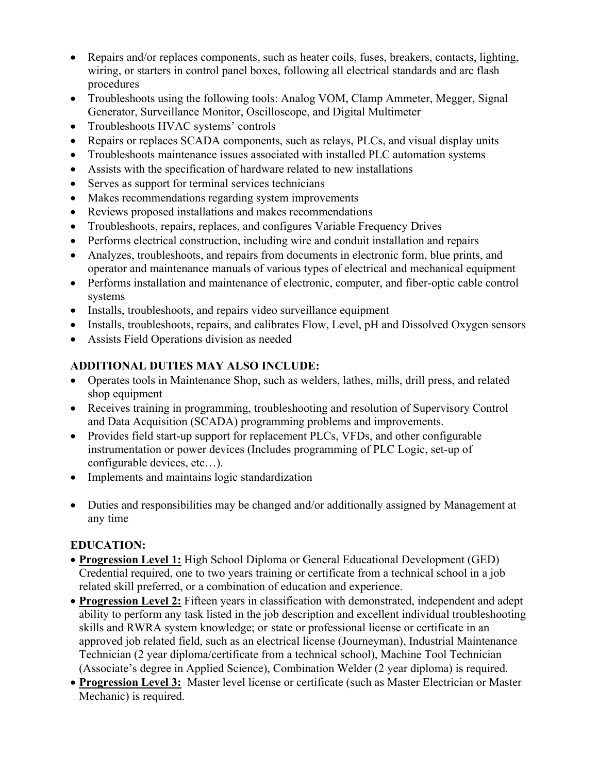- Repairs and/or replaces components, such as heater coils, fuses, breakers, contacts, lighting, wiring, or starters in control panel boxes, following all electrical standards and arc flash procedures
- Troubleshoots using the following tools: Analog VOM, Clamp Ammeter, Megger, Signal Generator, Surveillance Monitor, Oscilloscope, and Digital Multimeter
- Troubleshoots HVAC systems' controls
- Repairs or replaces SCADA components, such as relays, PLCs, and visual display units
- Troubleshoots maintenance issues associated with installed PLC automation systems
- Assists with the specification of hardware related to new installations
- Serves as support for terminal services technicians
- Makes recommendations regarding system improvements
- Reviews proposed installations and makes recommendations
- Troubleshoots, repairs, replaces, and configures Variable Frequency Drives
- Performs electrical construction, including wire and conduit installation and repairs
- Analyzes, troubleshoots, and repairs from documents in electronic form, blue prints, and operator and maintenance manuals of various types of electrical and mechanical equipment
- Performs installation and maintenance of electronic, computer, and fiber-optic cable control systems
- Installs, troubleshoots, and repairs video surveillance equipment
- Installs, troubleshoots, repairs, and calibrates Flow, Level, pH and Dissolved Oxygen sensors
- Assists Field Operations division as needed

# **ADDITIONAL DUTIES MAY ALSO INCLUDE:**

- Operates tools in Maintenance Shop, such as welders, lathes, mills, drill press, and related shop equipment
- Receives training in programming, troubleshooting and resolution of Supervisory Control and Data Acquisition (SCADA) programming problems and improvements.
- Provides field start-up support for replacement PLCs, VFDs, and other configurable instrumentation or power devices (Includes programming of PLC Logic, set-up of configurable devices, etc…).
- Implements and maintains logic standardization
- Duties and responsibilities may be changed and/or additionally assigned by Management at any time

# **EDUCATION:**

- **Progression Level 1:** High School Diploma or General Educational Development (GED) Credential required, one to two years training or certificate from a technical school in a job related skill preferred, or a combination of education and experience.
- **Progression Level 2:** Fifteen years in classification with demonstrated, independent and adept ability to perform any task listed in the job description and excellent individual troubleshooting skills and RWRA system knowledge; or state or professional license or certificate in an approved job related field, such as an electrical license (Journeyman), Industrial Maintenance Technician (2 year diploma/certificate from a technical school), Machine Tool Technician (Associate's degree in Applied Science), Combination Welder (2 year diploma) is required.
- **Progression Level 3:** Master level license or certificate (such as Master Electrician or Master Mechanic) is required.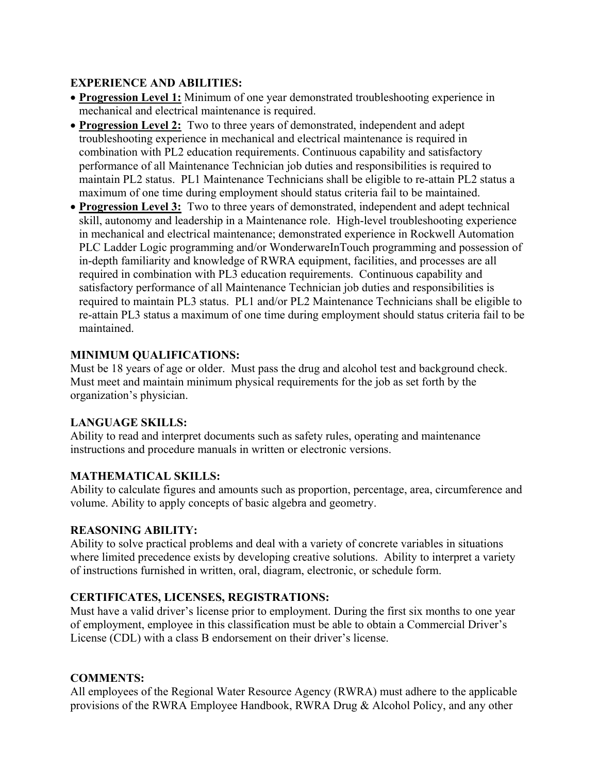## **EXPERIENCE AND ABILITIES:**

- **Progression Level 1:** Minimum of one year demonstrated troubleshooting experience in mechanical and electrical maintenance is required.
- **Progression Level 2:** Two to three years of demonstrated, independent and adept troubleshooting experience in mechanical and electrical maintenance is required in combination with PL2 education requirements. Continuous capability and satisfactory performance of all Maintenance Technician job duties and responsibilities is required to maintain PL2 status. PL1 Maintenance Technicians shall be eligible to re-attain PL2 status a maximum of one time during employment should status criteria fail to be maintained.
- **Progression Level 3:** Two to three years of demonstrated, independent and adept technical skill, autonomy and leadership in a Maintenance role. High-level troubleshooting experience in mechanical and electrical maintenance; demonstrated experience in Rockwell Automation PLC Ladder Logic programming and/or WonderwareInTouch programming and possession of in-depth familiarity and knowledge of RWRA equipment, facilities, and processes are all required in combination with PL3 education requirements. Continuous capability and satisfactory performance of all Maintenance Technician job duties and responsibilities is required to maintain PL3 status. PL1 and/or PL2 Maintenance Technicians shall be eligible to re-attain PL3 status a maximum of one time during employment should status criteria fail to be maintained.

## **MINIMUM QUALIFICATIONS:**

Must be 18 years of age or older. Must pass the drug and alcohol test and background check. Must meet and maintain minimum physical requirements for the job as set forth by the organization's physician.

### **LANGUAGE SKILLS:**

Ability to read and interpret documents such as safety rules, operating and maintenance instructions and procedure manuals in written or electronic versions.

### **MATHEMATICAL SKILLS:**

Ability to calculate figures and amounts such as proportion, percentage, area, circumference and volume. Ability to apply concepts of basic algebra and geometry.

### **REASONING ABILITY:**

Ability to solve practical problems and deal with a variety of concrete variables in situations where limited precedence exists by developing creative solutions. Ability to interpret a variety of instructions furnished in written, oral, diagram, electronic, or schedule form.

### **CERTIFICATES, LICENSES, REGISTRATIONS:**

Must have a valid driver's license prior to employment. During the first six months to one year of employment, employee in this classification must be able to obtain a Commercial Driver's License (CDL) with a class B endorsement on their driver's license.

### **COMMENTS:**

All employees of the Regional Water Resource Agency (RWRA) must adhere to the applicable provisions of the RWRA Employee Handbook, RWRA Drug & Alcohol Policy, and any other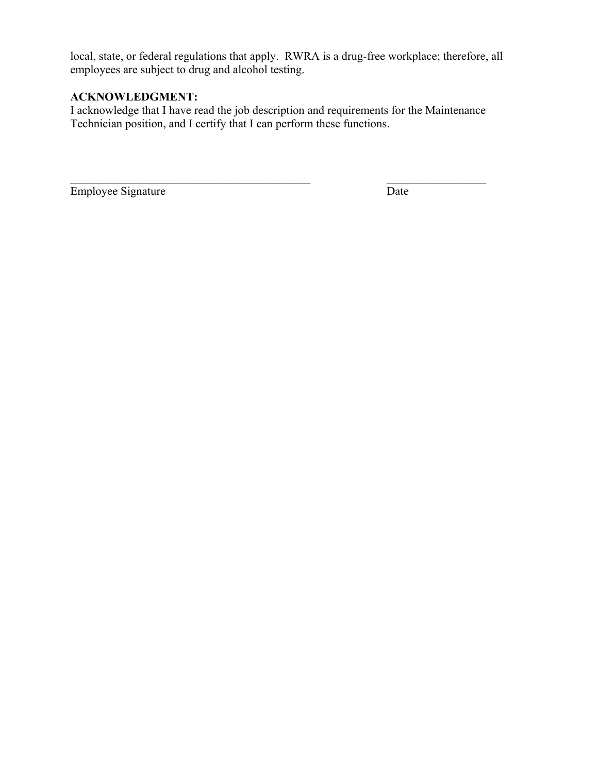local, state, or federal regulations that apply. RWRA is a drug-free workplace; therefore, all employees are subject to drug and alcohol testing.

## **ACKNOWLEDGMENT:**

I acknowledge that I have read the job description and requirements for the Maintenance Technician position, and I certify that I can perform these functions.

Employee Signature Date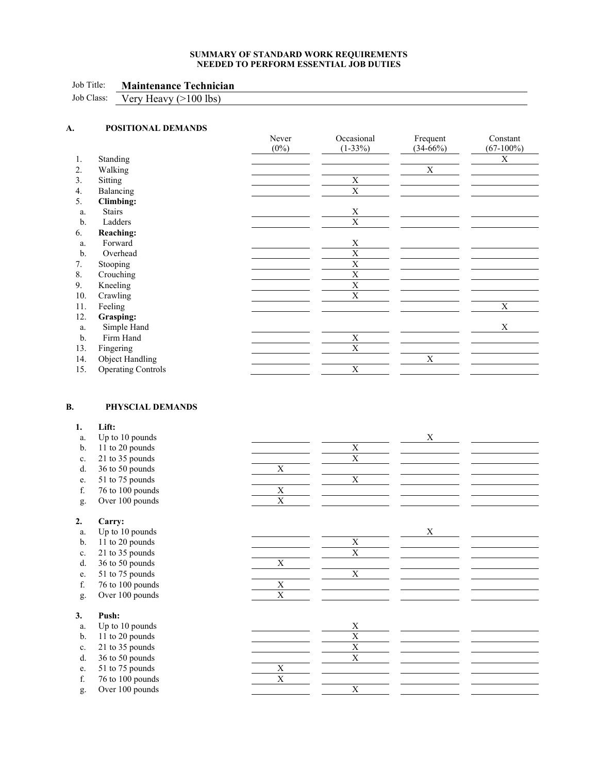#### **SUMMARY OF STANDARD WORK REQUIREMENTS NEEDED TO PERFORM ESSENTIAL JOB DUTIES**

<u> 1980 - Johann Barn, mars ann an t-Amhain Aonaich an t-Aonaich an t-Aonaich ann an t-Aonaich ann an t-Aonaich</u> 

#### Job Title: **Maintenance Technician**

Job Class: Very Heavy (>100 lbs)

| A.  | POSITIONAL DEMANDS        |         |             |             |              |
|-----|---------------------------|---------|-------------|-------------|--------------|
|     |                           | Never   | Occasional  | Frequent    | Constant     |
|     |                           | $(0\%)$ | $(1-33%)$   | $(34-66%)$  | $(67-100\%)$ |
| 1.  | Standing                  |         |             |             | X            |
| 2.  | Walking                   |         |             | $\mathbf X$ |              |
| 3.  | Sitting                   |         | $\mathbf X$ |             |              |
| 4.  | Balancing                 |         | X           |             |              |
| 5.  | <b>Climbing:</b>          |         |             |             |              |
| a.  | <b>Stairs</b>             |         | X           |             |              |
| b.  | Ladders                   |         | X           |             |              |
| 6.  | <b>Reaching:</b>          |         |             |             |              |
| a.  | Forward                   |         | $\mathbf X$ |             |              |
| b.  | Overhead                  |         | X           |             |              |
| 7.  | Stooping                  |         | X           |             |              |
| 8.  | Crouching                 |         | X           |             |              |
| 9.  | Kneeling                  |         | X           |             |              |
| 10. | Crawling                  |         | X           |             |              |
| 11. | Feeling                   |         |             |             | X            |
| 12. | Grasping:                 |         |             |             |              |
| a.  | Simple Hand               |         |             |             | $\mathbf X$  |
| b.  | Firm Hand                 |         | $\mathbf X$ |             |              |
| 13. | Fingering                 |         | $\mathbf X$ |             |              |
| 14. | Object Handling           |         |             | X           |              |
| 15. | <b>Operating Controls</b> |         | X           |             |              |

#### **B. PHYSCIAL DEMANDS**

| 1.             | Lift:            |             |                         |   |  |
|----------------|------------------|-------------|-------------------------|---|--|
| a.             | Up to 10 pounds  |             |                         | X |  |
| b.             | 11 to 20 pounds  |             | X                       |   |  |
| c.             | 21 to 35 pounds  |             | $\overline{\mathrm{X}}$ |   |  |
| d.             | 36 to 50 pounds  | X           |                         |   |  |
| e.             | 51 to 75 pounds  |             | X                       |   |  |
| f.             | 76 to 100 pounds | X           |                         |   |  |
| g.             | Over 100 pounds  | X           |                         |   |  |
| 2.             | Carry:           |             |                         |   |  |
| a.             | Up to 10 pounds  |             |                         | X |  |
| b.             | 11 to 20 pounds  |             | X                       |   |  |
| c.             | 21 to 35 pounds  |             | X                       |   |  |
| d.             | 36 to 50 pounds  | X           |                         |   |  |
| e.             | 51 to 75 pounds  |             | $\mathbf X$             |   |  |
| f.             | 76 to 100 pounds | X           |                         |   |  |
| g.             | Over 100 pounds  | $\mathbf X$ |                         |   |  |
| 3.             | Push:            |             |                         |   |  |
| a.             | Up to 10 pounds  |             | X                       |   |  |
| $\mathbf{b}$ . | 11 to 20 pounds  |             | $\mathbf X$             |   |  |
| c.             | 21 to 35 pounds  |             | X                       |   |  |
| d.             | 36 to 50 pounds  |             | $\mathbf X$             |   |  |
| e.             | 51 to 75 pounds  | $\mathbf X$ |                         |   |  |
| f.             | 76 to 100 pounds | X           |                         |   |  |
| g.             | Over 100 pounds  |             | X                       |   |  |